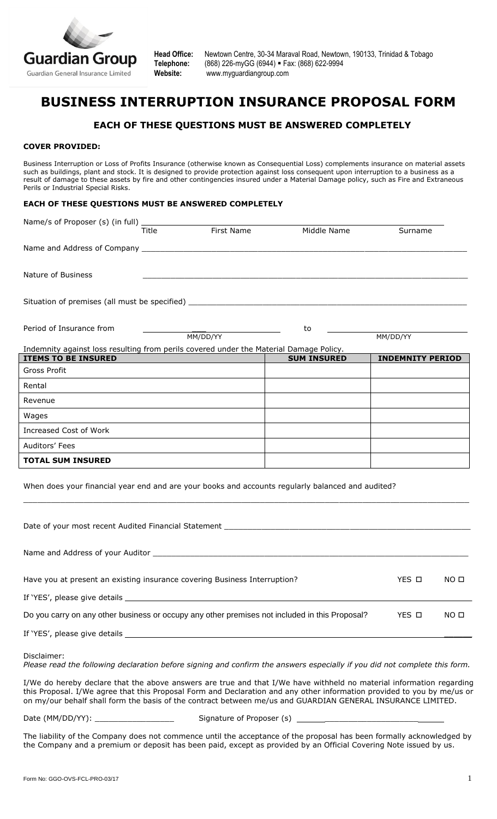

**Head Office:** Newtown Centre, 30-34 Maraval Road, Newtown, 190133, Trinidad & Tobago **Telephone:** (868) 226-myGG (6944) Fax: (868) 622-9994 **Website:** [www.myguardiangroup.com](http://www.myguardiangroup.com/)

# **BUSINESS INTERRUPTION INSURANCE PROPOSAL FORM**

## **EACH OF THESE QUESTIONS MUST BE ANSWERED COMPLETELY**

#### **COVER PROVIDED:**

Business Interruption or Loss of Profits Insurance (otherwise known as Consequential Loss) complements insurance on material assets such as buildings, plant and stock. It is designed to provide protection against loss consequent upon interruption to a business as a result of damage to these assets by fire and other contingencies insured under a Material Damage policy, such as Fire and Extraneous Perils or Industrial Special Risks.

#### **EACH OF THESE QUESTIONS MUST BE ANSWERED COMPLETELY**

|                                                                                                                            | <b>Title</b> | First Name | Middle Name        | Surname                 |  |
|----------------------------------------------------------------------------------------------------------------------------|--------------|------------|--------------------|-------------------------|--|
|                                                                                                                            |              |            |                    |                         |  |
| Nature of Business                                                                                                         |              |            |                    |                         |  |
|                                                                                                                            |              |            |                    |                         |  |
| Period of Insurance from                                                                                                   |              | MM/DD/YY   | to                 | MM/DD/YY                |  |
| Indemnity against loss resulting from perils covered under the Material Damage Policy.<br><b>ITEMS TO BE INSURED</b>       |              |            | <b>SUM INSURED</b> | <b>INDEMNITY PERIOD</b> |  |
| Gross Profit                                                                                                               |              |            |                    |                         |  |
| Rental                                                                                                                     |              |            |                    |                         |  |
| Revenue                                                                                                                    |              |            |                    |                         |  |
| Wages                                                                                                                      |              |            |                    |                         |  |
| Increased Cost of Work                                                                                                     |              |            |                    |                         |  |
| Auditors' Fees                                                                                                             |              |            |                    |                         |  |
| <b>TOTAL SUM INSURED</b>                                                                                                   |              |            |                    |                         |  |
| When does your financial year end and are your books and accounts regularly balanced and audited?                          |              |            |                    |                         |  |
|                                                                                                                            |              |            |                    |                         |  |
|                                                                                                                            |              |            |                    |                         |  |
| Have you at present an existing insurance covering Business Interruption?                                                  | YES <b>n</b> | NO O       |                    |                         |  |
|                                                                                                                            |              |            |                    |                         |  |
| Do you carry on any other business or occupy any other premises not included in this Proposal?<br>YES O<br>NO <sub>0</sub> |              |            |                    |                         |  |
|                                                                                                                            |              |            |                    |                         |  |
| Disclaimer:                                                                                                                |              |            |                    |                         |  |

*Please read the following declaration before signing and confirm the answers especially if you did not complete this form.*

I/We do hereby declare that the above answers are true and that I/We have withheld no material information regarding this Proposal. I/We agree that this Proposal Form and Declaration and any other information provided to you by me/us or on my/our behalf shall form the basis of the contract between me/us and GUARDIAN GENERAL INSURANCE LIMITED.

Date (MM/DD/YY): <br>
Signature of Proposer (s)

The liability of the Company does not commence until the acceptance of the proposal has been formally acknowledged by the Company and a premium or deposit has been paid, except as provided by an Official Covering Note issued by us.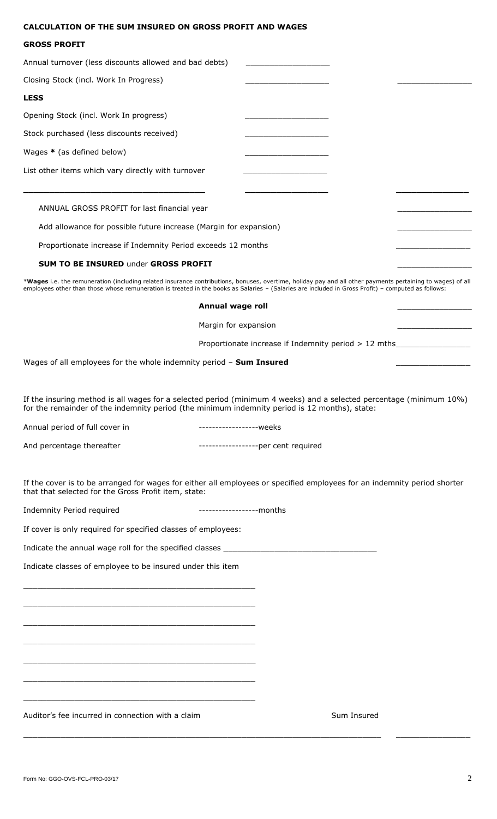#### **CALCULATION OF THE SUM INSURED ON GROSS PROFIT AND WAGES**

### **GROSS PROFIT**

| Annual turnover (less discounts allowed and bad debts)                                                                                                                                                                                                                                                           |                                                      |  |  |  |  |
|------------------------------------------------------------------------------------------------------------------------------------------------------------------------------------------------------------------------------------------------------------------------------------------------------------------|------------------------------------------------------|--|--|--|--|
| Closing Stock (incl. Work In Progress)                                                                                                                                                                                                                                                                           |                                                      |  |  |  |  |
| <b>LESS</b>                                                                                                                                                                                                                                                                                                      |                                                      |  |  |  |  |
| Opening Stock (incl. Work In progress)                                                                                                                                                                                                                                                                           |                                                      |  |  |  |  |
| Stock purchased (less discounts received)                                                                                                                                                                                                                                                                        |                                                      |  |  |  |  |
| Wages * (as defined below)                                                                                                                                                                                                                                                                                       |                                                      |  |  |  |  |
| List other items which vary directly with turnover                                                                                                                                                                                                                                                               |                                                      |  |  |  |  |
|                                                                                                                                                                                                                                                                                                                  |                                                      |  |  |  |  |
| ANNUAL GROSS PROFIT for last financial year                                                                                                                                                                                                                                                                      |                                                      |  |  |  |  |
| Add allowance for possible future increase (Margin for expansion)                                                                                                                                                                                                                                                |                                                      |  |  |  |  |
| Proportionate increase if Indemnity Period exceeds 12 months                                                                                                                                                                                                                                                     |                                                      |  |  |  |  |
| <b>SUM TO BE INSURED under GROSS PROFIT</b>                                                                                                                                                                                                                                                                      |                                                      |  |  |  |  |
| *Wages i.e. the remuneration (including related insurance contributions, bonuses, overtime, holiday pay and all other payments pertaining to wages) of all<br>employees other than those whose remuneration is treated in the books as Salaries - (Salaries are included in Gross Profit) - computed as follows: |                                                      |  |  |  |  |
| Annual wage roll                                                                                                                                                                                                                                                                                                 |                                                      |  |  |  |  |
| Margin for expansion                                                                                                                                                                                                                                                                                             |                                                      |  |  |  |  |
|                                                                                                                                                                                                                                                                                                                  | Proportionate increase if Indemnity period > 12 mths |  |  |  |  |
| Wages of all employees for the whole indemnity period - Sum Insured                                                                                                                                                                                                                                              |                                                      |  |  |  |  |

If the insuring method is all wages for a selected period (minimum 4 weeks) and a selected percentage (minimum 10%) for the remainder of the indemnity period (the minimum indemnity period is 12 months), state:

Annual period of full cover in ------------------weeks

And percentage thereafter  $\cdots$  ---------------------------per cent required

If the cover is to be arranged for wages for either all employees or specified employees for an indemnity period shorter that that selected for the Gross Profit item, state:

\_\_\_\_\_\_\_\_\_\_\_\_\_\_\_\_\_\_\_\_\_\_\_\_\_\_\_\_\_\_\_\_\_\_\_\_\_\_\_\_\_\_\_\_\_\_\_\_\_\_\_\_\_\_\_\_\_\_\_\_\_\_\_\_\_\_\_\_\_\_\_\_\_\_\_\_\_ \_\_\_\_\_\_\_\_\_\_\_\_\_\_\_\_

Indemnity Period required ------------------months

If cover is only required for specified classes of employees:

Indicate the annual wage roll for the specified classes  $\_$ 

Indicate classes of employee to be insured under this item

\_\_\_\_\_\_\_\_\_\_\_\_\_\_\_\_\_\_\_\_\_\_\_\_\_\_\_\_\_\_\_\_\_\_\_\_\_\_\_\_\_\_\_\_\_\_\_\_\_\_

\_\_\_\_\_\_\_\_\_\_\_\_\_\_\_\_\_\_\_\_\_\_\_\_\_\_\_\_\_\_\_\_\_\_\_\_\_\_\_\_\_\_\_\_\_\_\_\_\_\_

\_\_\_\_\_\_\_\_\_\_\_\_\_\_\_\_\_\_\_\_\_\_\_\_\_\_\_\_\_\_\_\_\_\_\_\_\_\_\_\_\_\_\_\_\_\_\_\_\_\_

 $\_$  , and the set of the set of the set of the set of the set of the set of the set of the set of the set of the set of the set of the set of the set of the set of the set of the set of the set of the set of the set of th

 $\_$  . The contract of the contract of the contract of the contract of the contract of the contract of the contract of the contract of the contract of the contract of the contract of the contract of the contract of the con

 $\_$  , and the set of the set of the set of the set of the set of the set of the set of the set of the set of the set of the set of the set of the set of the set of the set of the set of the set of the set of the set of th

\_\_\_\_\_\_\_\_\_\_\_\_\_\_\_\_\_\_\_\_\_\_\_\_\_\_\_\_\_\_\_\_\_\_\_\_\_\_\_\_\_\_\_\_\_\_\_\_\_\_

Auditor's fee incurred in connection with a claim Sum Insured Sum Insured